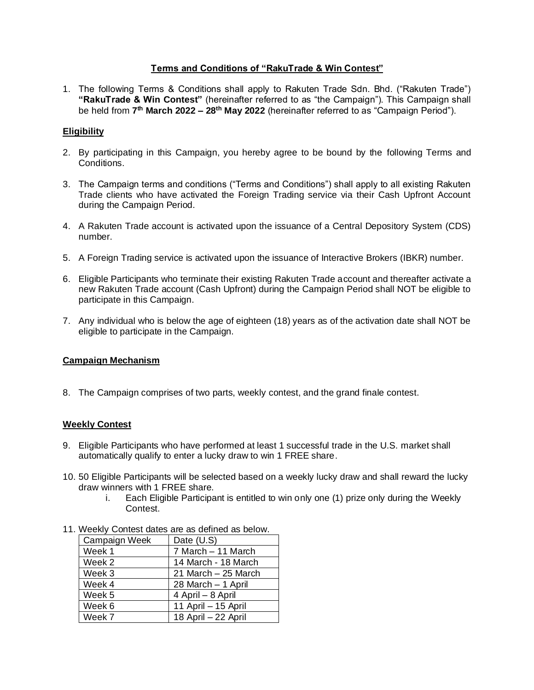## **Terms and Conditions of "RakuTrade & Win Contest"**

1. The following Terms & Conditions shall apply to Rakuten Trade Sdn. Bhd. ("Rakuten Trade") **"RakuTrade & Win Contest"** (hereinafter referred to as "the Campaign"). This Campaign shall be held from **7 th March 2022 – 28th May 2022** (hereinafter referred to as "Campaign Period").

# **Eligibility**

- 2. By participating in this Campaign, you hereby agree to be bound by the following Terms and Conditions.
- 3. The Campaign terms and conditions ("Terms and Conditions") shall apply to all existing Rakuten Trade clients who have activated the Foreign Trading service via their Cash Upfront Account during the Campaign Period.
- 4. A Rakuten Trade account is activated upon the issuance of a Central Depository System (CDS) number.
- 5. A Foreign Trading service is activated upon the issuance of Interactive Brokers (IBKR) number.
- 6. Eligible Participants who terminate their existing Rakuten Trade account and thereafter activate a new Rakuten Trade account (Cash Upfront) during the Campaign Period shall NOT be eligible to participate in this Campaign.
- 7. Any individual who is below the age of eighteen (18) years as of the activation date shall NOT be eligible to participate in the Campaign.

## **Campaign Mechanism**

8. The Campaign comprises of two parts, weekly contest, and the grand finale contest.

## **Weekly Contest**

- 9. Eligible Participants who have performed at least 1 successful trade in the U.S. market shall automatically qualify to enter a lucky draw to win 1 FREE share.
- 10. 50 Eligible Participants will be selected based on a weekly lucky draw and shall reward the lucky draw winners with 1 FREE share.
	- i. Each Eligible Participant is entitled to win only one (1) prize only during the Weekly Contest.

| $\alpha$ , weenly contest dates are as defined as before. |  |  |  |  |
|-----------------------------------------------------------|--|--|--|--|
| Date (U.S)                                                |  |  |  |  |
| 7 March - 11 March                                        |  |  |  |  |
| 14 March - 18 March                                       |  |  |  |  |
| 21 March - 25 March                                       |  |  |  |  |
| 28 March - 1 April                                        |  |  |  |  |
| 4 April – 8 April                                         |  |  |  |  |
| 11 April - 15 April                                       |  |  |  |  |
| 18 April - 22 April                                       |  |  |  |  |
|                                                           |  |  |  |  |

11. Weekly Contest dates are as defined as below.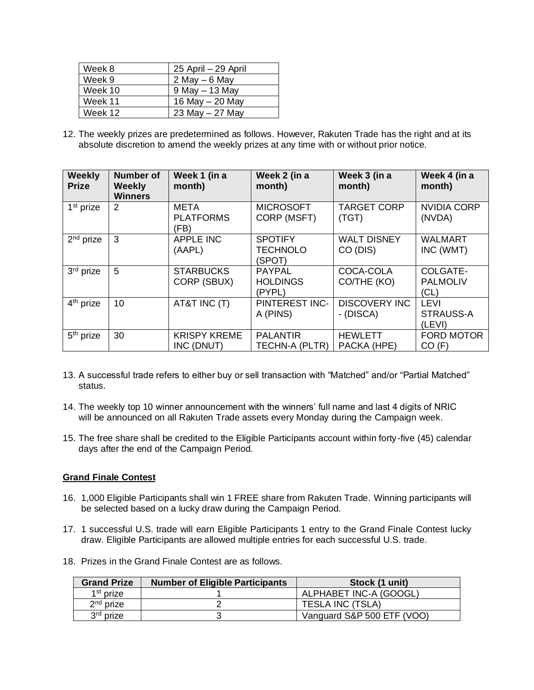| Week 8  | 25 April - 29 April |
|---------|---------------------|
| Week 9  | 2 May $-6$ May      |
| Week 10 | $9$ May $-13$ May   |
| Week 11 | 16 May - 20 May     |
| Week 12 | 23 May $-$ 27 May   |

12. The weekly prizes are predetermined as follows. However, Rakuten Trade has the right and at its absolute discretion to amend the weekly prizes at any time with or without prior notice.

| <b>Weekly</b><br><b>Prize</b> | <b>Number of</b><br><b>Weekly</b><br><b>Winners</b> | Week 1 (in a<br>month)            | Week 2 (in a<br>month)                      | Week 3 (in a<br>month)            | Week 4 (in a<br>month)                    |
|-------------------------------|-----------------------------------------------------|-----------------------------------|---------------------------------------------|-----------------------------------|-------------------------------------------|
| 1 <sup>st</sup> prize         | 2                                                   | META<br><b>PLATFORMS</b><br>(FB)  | <b>MICROSOFT</b><br>CORP (MSFT)             | <b>TARGET CORP</b><br>(TGT)       | <b>NVIDIA CORP</b><br>(NVDA)              |
| $2nd$ prize                   | 3                                                   | <b>APPLE INC</b><br>(AAPL)        | <b>SPOTIFY</b><br><b>TECHNOLO</b><br>(SPOT) | <b>WALT DISNEY</b><br>CO (DIS)    | <b>WALMART</b><br>INC (WMT)               |
| 3rd prize                     | 5                                                   | <b>STARBUCKS</b><br>CORP (SBUX)   | <b>PAYPAL</b><br><b>HOLDINGS</b><br>(PYPL)  | COCA-COLA<br>CO/THE (KO)          | COLGATE-<br><b>PALMOLIV</b><br>(CL)       |
| 4 <sup>th</sup> prize         | 10                                                  | AT&T INC (T)                      | <b>PINTEREST INC-</b><br>A (PINS)           | <b>DISCOVERY INC</b><br>- (DISCA) | <b>LEVI</b><br><b>STRAUSS-A</b><br>(LEVI) |
| $5th$ prize                   | 30                                                  | <b>KRISPY KREME</b><br>INC (DNUT) | <b>PALANTIR</b><br>TECHN-A (PLTR)           | <b>HEWLETT</b><br>PACKA (HPE)     | <b>FORD MOTOR</b><br>CO(F)                |

- 13. A successful trade refers to either buy or sell transaction with "Matched" and/or "Partial Matched" status.
- 14. The weekly top 10 winner announcement with the winners' full name and last 4 digits of NRIC will be announced on all Rakuten Trade assets every Monday during the Campaign week.
- 15. The free share shall be credited to the Eligible Participants account within forty-five (45) calendar days after the end of the Campaign Period.

## **Grand Finale Contest**

- 16. 1,000 Eligible Participants shall win 1 FREE share from Rakuten Trade. Winning participants will be selected based on a lucky draw during the Campaign Period.
- 17. 1 successful U.S. trade will earn Eligible Participants 1 entry to the Grand Finale Contest lucky draw. Eligible Participants are allowed multiple entries for each successful U.S. trade.
- 18. Prizes in the Grand Finale Contest are as follows.

| <b>Grand Prize</b> | <b>Number of Eligible Participants</b> | Stock (1 unit)             |
|--------------------|----------------------------------------|----------------------------|
| $1st$ prize        |                                        | ALPHABET INC-A (GOOGL)     |
| $2nd$ prize        |                                        | <b>TESLA INC (TSLA)</b>    |
| $3rd$ prize        |                                        | Vanguard S&P 500 ETF (VOO) |